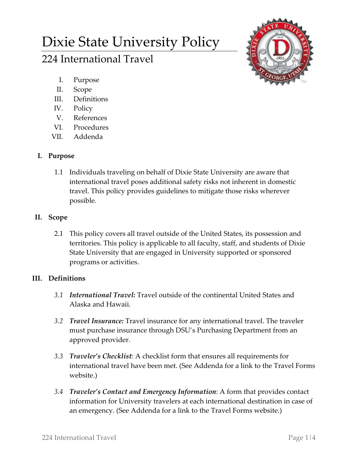# Dixie State University Policy

# 224 International Travel



- I. Purpose
- II. Scope
- III. Definitions
- IV. Policy
- V. References
- VI. Procedures
- VII. Addenda

# **I. Purpose**

1.1 Individuals traveling on behalf of Dixie State University are aware that international travel poses additional safety risks not inherent in domestic travel. This policy provides guidelines to mitigate those risks wherever possible.

## **II. Scope**

2.1 This policy covers all travel outside of the United States, its possession and territories. This policy is applicable to all faculty, staff, and students of Dixie State University that are engaged in University supported or sponsored programs or activities.

# **III. Definitions**

- *3.1 International Travel:* Travel outside of the continental United States and Alaska and Hawaii.
- *3.2 Travel Insurance:* Travel insurance for any international travel. The traveler must purchase insurance through DSU's Purchasing Department from an approved provider.
- *3.3 Traveler's Checklist*: A checklist form that ensures all requirements for international travel have been met. (See Addenda for a link to the Travel Forms website.)
- *3.4 Traveler's Contact and Emergency Information*: A form that provides contact information for University travelers at each international destination in case of an emergency. (See Addenda for a link to the Travel Forms website.)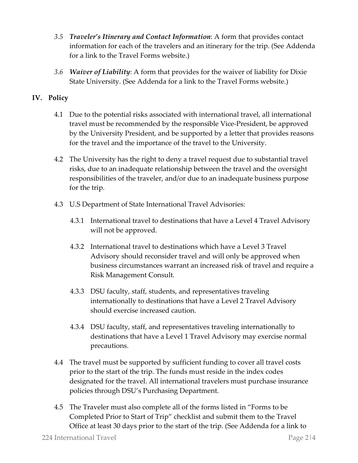- *3.5 Traveler's Itinerary and Contact Information*: A form that provides contact information for each of the travelers and an itinerary for the trip. (See Addenda for a link to the Travel Forms website.)
- *3.6 Waiver of Liability*: A form that provides for the waiver of liability for Dixie State University. (See Addenda for a link to the Travel Forms website.)

### **IV. Policy**

- 4.1 Due to the potential risks associated with international travel, all international travel must be recommended by the responsible Vice-President, be approved by the University President, and be supported by a letter that provides reasons for the travel and the importance of the travel to the University.
- 4.2 The University has the right to deny a travel request due to substantial travel risks, due to an inadequate relationship between the travel and the oversight responsibilities of the traveler, and/or due to an inadequate business purpose for the trip.
- 4.3 U.S Department of State International Travel Advisories:
	- 4.3.1 International travel to destinations that have a Level 4 Travel Advisory will not be approved.
	- 4.3.2 International travel to destinations which have a Level 3 Travel Advisory should reconsider travel and will only be approved when business circumstances warrant an increased risk of travel and require a Risk Management Consult.
	- 4.3.3 DSU faculty, staff, students, and representatives traveling internationally to destinations that have a Level 2 Travel Advisory should exercise increased caution.
	- 4.3.4 DSU faculty, staff, and representatives traveling internationally to destinations that have a Level 1 Travel Advisory may exercise normal precautions.
- 4.4 The travel must be supported by sufficient funding to cover all travel costs prior to the start of the trip. The funds must reside in the index codes designated for the travel. All international travelers must purchase insurance policies through DSU's Purchasing Department.
- 4.5 The Traveler must also complete all of the forms listed in "Forms to be Completed Prior to Start of Trip" checklist and submit them to the Travel Office at least 30 days prior to the start of the trip. (See Addenda for a link to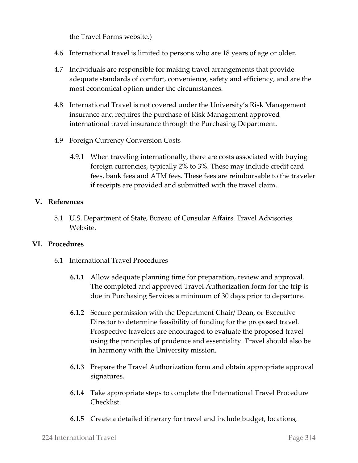the Travel Forms website.)

- 4.6 International travel is limited to persons who are 18 years of age or older.
- 4.7 Individuals are responsible for making travel arrangements that provide adequate standards of comfort, convenience, safety and efficiency, and are the most economical option under the circumstances.
- 4.8 International Travel is not covered under the University's Risk Management insurance and requires the purchase of Risk Management approved international travel insurance through the Purchasing Department.
- 4.9 Foreign Currency Conversion Costs
	- 4.9.1 When traveling internationally, there are costs associated with buying foreign currencies, typically 2% to 3%. These may include credit card fees, bank fees and ATM fees. These fees are reimbursable to the traveler if receipts are provided and submitted with the travel claim.

#### **V. References**

5.1 U.S. Department of State, Bureau of Consular Affairs. Travel Advisories Website.

#### **VI. Procedures**

- 6.1 International Travel Procedures
	- **6.1.1** Allow adequate planning time for preparation, review and approval. The completed and approved Travel Authorization form for the trip is due in Purchasing Services a minimum of 30 days prior to departure.
	- **6.1.2** Secure permission with the Department Chair/ Dean, or Executive Director to determine feasibility of funding for the proposed travel. Prospective travelers are encouraged to evaluate the proposed travel using the principles of prudence and essentiality. Travel should also be in harmony with the University mission.
	- **6.1.3** Prepare the Travel Authorization form and obtain appropriate approval signatures.
	- **6.1.4** Take appropriate steps to complete the International Travel Procedure Checklist.
	- **6.1.5** Create a detailed itinerary for travel and include budget, locations,